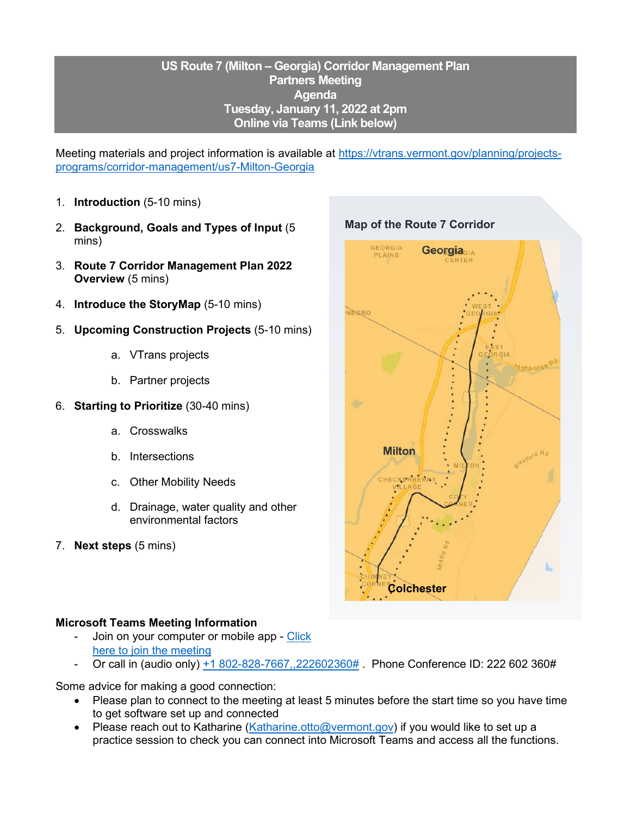## **US Route 7 (Milton – Georgia) Corridor Management Plan Partners Meeting Agenda Tuesday, January 11, 2022 at 2pm Online via Teams (Link below)**

Meeting materials and project information is available at [https://vtrans.vermont.gov/planning/projects](https://vtrans.vermont.gov/planning/projects-programs/corridor-management/us7-Milton-Georgia)[programs/corridor-management/us7-Milton-Georgia](https://vtrans.vermont.gov/planning/projects-programs/corridor-management/us7-Milton-Georgia)

- 1. **Introduction** (5-10 mins)
- 2. **Background, Goals and Types of Input** (5 mins)
- 3. **Route 7 Corridor Management Plan 2022 Overview** (5 mins)
- 4. **Introduce the StoryMap** (5-10 mins)
- 5. **Upcoming Construction Projects** (5-10 mins)
	- a. VTrans projects
	- b. Partner projects
- 6. **Starting to Prioritize** (30-40 mins)
	- a. Crosswalks
	- b. Intersections
	- c. Other Mobility Needs
	- d. Drainage, water quality and other environmental factors
- 7. **Next steps** (5 mins)

## GEORGIA Georgia<sub>GIA</sub> PLAINS NBORO GIA **Milton** RRY **Colchester**

## **Microsoft Teams Meeting Information**

- Join on your computer or mobile app Click [here to join the meeting](https://teams.microsoft.com/l/meetup-join/19%3ameeting_NDA2M2I3MTQtYWYwYy00ZTYyLThjMzktZjVmYTcyMWEyYWVj%40thread.v2/0?context=%7b%22Tid%22%3a%2220b4933b-baad-433c-9c02-70edcc7559c6%22%2c%22Oid%22%3a%22e84e6b7c-a1bc-48b7-8bf9-8b54b6e16f0b%22%7d)
- Or call in (audio only) [+1 802-828-7667,,222602360#](tel:+18028287667,,222602360#%20) . Phone Conference ID: 222 602 360#

Some advice for making a good connection:

- Please plan to connect to the meeting at least 5 minutes before the start time so you have time to get software set up and connected
- Please reach out to Katharine [\(Katharine.otto@vermont.gov\)](mailto:Katharine.otto@vermont.gov) if you would like to set up a practice session to check you can connect into Microsoft Teams and access all the functions.

## **Map of the Route 7 Corridor**